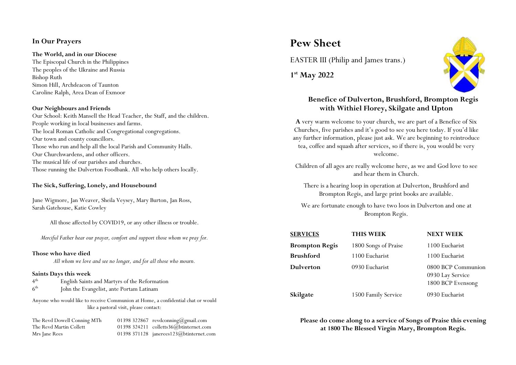## **In Our Prayers**

### **The World, and in our Diocese**

The Episcopal Church in the Philippines The peoples of the Ukraine and Russia Bishop Ruth Simon Hill, Archdeacon of Taunton Caroline Ralph, Area Dean of Exmoor

### **Our Neighbours and Friends**

Our School: Keith Mansell the Head Teacher, the Staff, and the children. People working in local businesses and farms. The local Roman Catholic and Congregational congregations. Our town and county councillors. Those who run and help all the local Parish and Community Halls. Our Churchwardens, and other officers. The musical life of our parishes and churches. Those running the Dulverton Foodbank. All who help others locally.

### **The Sick, Suffering, Lonely, and Housebound**

June Wigmore, Jan Weaver, Sheila Veysey, Mary Burton, Jan Ross, Sarah Gatehouse, Katie Cowley

All those affected by COVID19, or any other illness or trouble.

*Merciful Father hear our prayer, comfort and support those whom we pray for.*

### **Those who have died**

*All whom we love and see no longer, and for all those who mourn.*

### **Saints Days this week**

| 4 <sup>th</sup> | English Saints and Martyrs of the Reformation |
|-----------------|-----------------------------------------------|
| 6 <sup>th</sup> | John the Evangelist, ante Portam Latinam      |

Anyone who would like to receive Communion at Home, a confidential chat or would like a pastoral visit, please contact:

The Revd Dowell Conning MTh 01398 322867 revdconning@gmail.com The Revd Martin Collett 01398 324211 colletts36@btinternet.com Mrs Jane Rees 01398 371128 janerees123@btinternet.com

# **Pew Sheet**

EASTER III (Philip and James trans.)

**1st May 2022**



# **Benefice of Dulverton, Brushford, Brompton Regis with Withiel Florey, Skilgate and Upton**

**A** very warm welcome to your church, we are part of a Benefice of Six Churches, five parishes and it's good to see you here today. If you'd like any further information, please just ask. We are beginning to reintroduce tea, coffee and squash after services, so if there is, you would be very welcome.

Children of all ages are really welcome here, as we and God love to see and hear them in Church.

There is a hearing loop in operation at Dulverton, Brushford and Brompton Regis, and large print books are available.

We are fortunate enough to have two loos in Dulverton and one at Brompton Regis.

| <b>SERVICES</b>       | <b>THIS WEEK</b>     | <b>NEXT WEEK</b>                                            |
|-----------------------|----------------------|-------------------------------------------------------------|
| <b>Brompton Regis</b> | 1800 Songs of Praise | 1100 Eucharist                                              |
| <b>Brushford</b>      | 1100 Eucharist       | 1100 Eucharist                                              |
| <b>Dulverton</b>      | 0930 Eucharist       | 0800 BCP Communion<br>0930 Lay Service<br>1800 BCP Evensong |
| Skilgate              | 1500 Family Service  | 0930 Eucharist                                              |

**Please do come along to a service of Songs of Praise this evening at 1800 The Blessed Virgin Mary, Brompton Regis.**